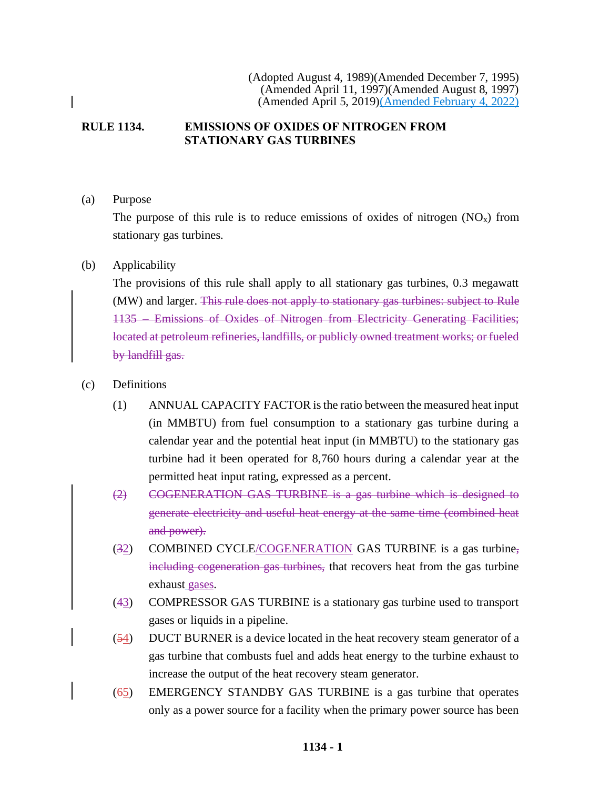### **RULE 1134. EMISSIONS OF OXIDES OF NITROGEN FROM STATIONARY GAS TURBINES**

(a) Purpose

The purpose of this rule is to reduce emissions of oxides of nitrogen  $(NO<sub>x</sub>)$  from stationary gas turbines.

### (b) Applicability

The provisions of this rule shall apply to all stationary gas turbines, 0.3 megawatt (MW) and larger. This rule does not apply to stationary gas turbines: subject to Rule 1135 – Emissions of Oxides of Nitrogen from Electricity Generating Facilities; located at petroleum refineries, landfills, or publicly owned treatment works; or fueled by landfill gas.

### (c) Definitions

- (1) ANNUAL CAPACITY FACTOR is the ratio between the measured heat input (in MMBTU) from fuel consumption to a stationary gas turbine during a calendar year and the potential heat input (in MMBTU) to the stationary gas turbine had it been operated for 8,760 hours during a calendar year at the permitted heat input rating, expressed as a percent.
- (2) COGENERATION GAS TURBINE is a gas turbine which is designed to generate electricity and useful heat energy at the same time (combined heat and power).
- (32) COMBINED CYCLE/COGENERATION GAS TURBINE is a gas turbine, including cogeneration gas turbines, that recovers heat from the gas turbine exhaust gases.
- (43) COMPRESSOR GAS TURBINE is a stationary gas turbine used to transport gases or liquids in a pipeline.
- (54) DUCT BURNER is a device located in the heat recovery steam generator of a gas turbine that combusts fuel and adds heat energy to the turbine exhaust to increase the output of the heat recovery steam generator.
- (65) EMERGENCY STANDBY GAS TURBINE is a gas turbine that operates only as a power source for a facility when the primary power source has been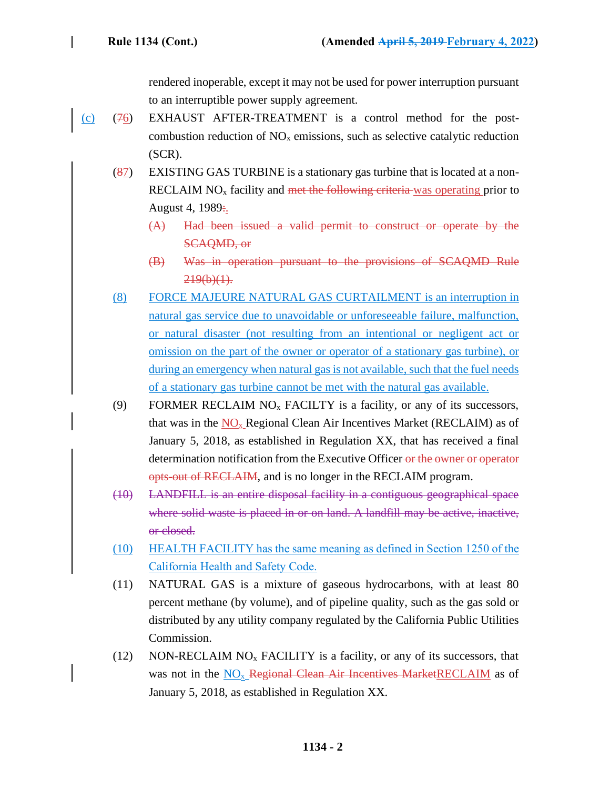rendered inoperable, except it may not be used for power interruption pursuant to an interruptible power supply agreement.

- $(c)$  (76) EXHAUST AFTER-TREATMENT is a control method for the postcombustion reduction of  $NO<sub>x</sub>$  emissions, such as selective catalytic reduction (SCR).
	- (87) EXISTING GAS TURBINE is a stationary gas turbine that is located at a non-RECLAIM  $NO<sub>x</sub>$  facility and met the following criteria was operating prior to August 4, 1989:
		- (A) Had been issued a valid permit to construct or operate by the SCAQMD, or
		- (B) Was in operation pursuant to the provisions of SCAQMD Rule  $219(b)(1)$ .
	- (8) FORCE MAJEURE NATURAL GAS CURTAILMENT is an interruption in natural gas service due to unavoidable or unforeseeable failure, malfunction, or natural disaster (not resulting from an intentional or negligent act or omission on the part of the owner or operator of a stationary gas turbine), or during an emergency when natural gas is not available, such that the fuel needs of a stationary gas turbine cannot be met with the natural gas available.
	- (9) FORMER RECLAIM  $NO<sub>x</sub>$  FACILTY is a facility, or any of its successors, that was in the  $NO<sub>x</sub>$  Regional Clean Air Incentives Market (RECLAIM) as of January 5, 2018, as established in Regulation XX, that has received a final determination notification from the Executive Officer or the owner or operator opts-out of RECLAIM, and is no longer in the RECLAIM program.
	- (10) LANDFILL is an entire disposal facility in a contiguous geographical space where solid waste is placed in or on land. A landfill may be active, inactive, or closed.
	- (10) HEALTH FACILITY has the same meaning as defined in Section 1250 of the California Health and Safety Code.
	- (11) NATURAL GAS is a mixture of gaseous hydrocarbons, with at least 80 percent methane (by volume), and of pipeline quality, such as the gas sold or distributed by any utility company regulated by the California Public Utilities Commission.
	- (12) NON-RECLAIM  $NO<sub>x</sub>$  FACILITY is a facility, or any of its successors, that was not in the NO<sub>x</sub> Regional Clean Air Incentives MarketRECLAIM as of January 5, 2018, as established in Regulation XX.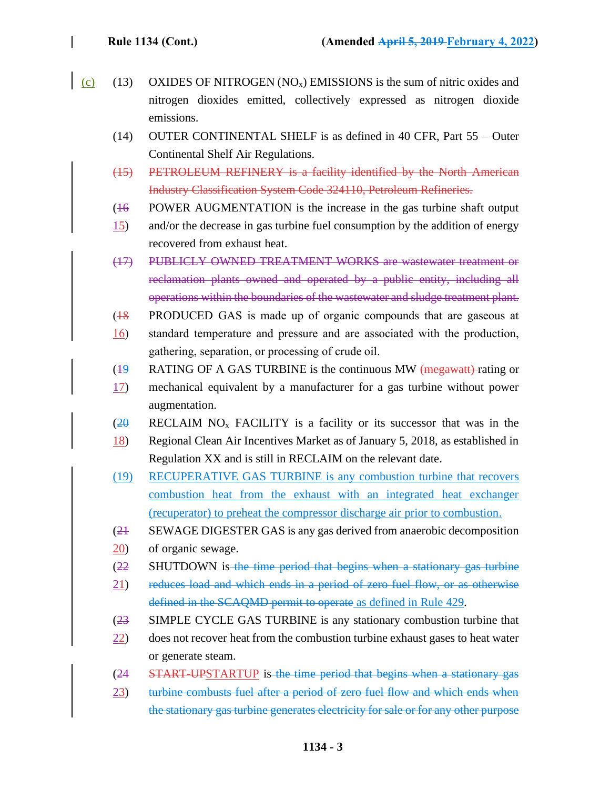- (c) (13) OXIDES OF NITROGEN  $(NO_x)$  EMISSIONS is the sum of nitric oxides and nitrogen dioxides emitted, collectively expressed as nitrogen dioxide emissions.
	- (14) OUTER CONTINENTAL SHELF is as defined in 40 CFR, Part 55 Outer Continental Shelf Air Regulations.
	- (15) PETROLEUM REFINERY is a facility identified by the North American Industry Classification System Code 324110, Petroleum Refineries.
	- $(16)$ POWER AUGMENTATION is the increase in the gas turbine shaft output
	- 15) and/or the decrease in gas turbine fuel consumption by the addition of energy recovered from exhaust heat.
	- (17) PUBLICLY OWNED TREATMENT WORKS are wastewater treatment or reclamation plants owned and operated by a public entity, including all operations within the boundaries of the wastewater and sludge treatment plant.
	- $(18)$ PRODUCED GAS is made up of organic compounds that are gaseous at
	- 16) standard temperature and pressure and are associated with the production, gathering, separation, or processing of crude oil.
	- $(19)$ RATING OF A GAS TURBINE is the continuous MW (megawatt) rating or
	- 17) mechanical equivalent by a manufacturer for a gas turbine without power augmentation.
	- $(2\theta)$ RECLAIM  $NO<sub>x</sub>$  FACILITY is a facility or its successor that was in the
	- 18) Regional Clean Air Incentives Market as of January 5, 2018, as established in Regulation XX and is still in RECLAIM on the relevant date.
	- (19) RECUPERATIVE GAS TURBINE is any combustion turbine that recovers combustion heat from the exhaust with an integrated heat exchanger (recuperator) to preheat the compressor discharge air prior to combustion.
	- $(21)$ SEWAGE DIGESTER GAS is any gas derived from anaerobic decomposition
	- 20) of organic sewage.
	- $(22)$ SHUTDOWN is the time period that begins when a stationary gas turbine
	- 21) reduces load and which ends in a period of zero fuel flow, or as otherwise defined in the SCAQMD permit to operate as defined in Rule 429.
	- $(23)$ SIMPLE CYCLE GAS TURBINE is any stationary combustion turbine that
	- 22) does not recover heat from the combustion turbine exhaust gases to heat water or generate steam.
	- $(24)$ START-UPSTARTUP is the time period that begins when a stationary gas
	- 23) turbine combusts fuel after a period of zero fuel flow and which ends when the stationary gas turbine generates electricity for sale or for any other purpose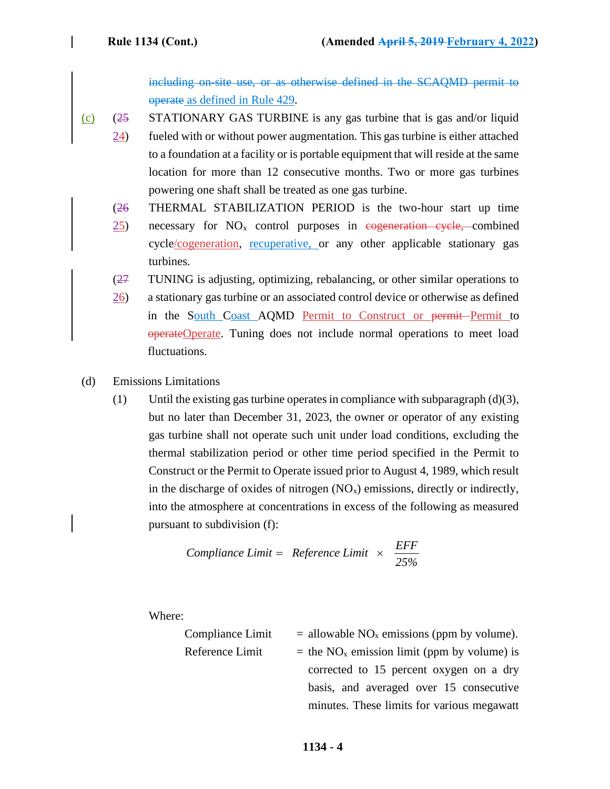including on-site use, or as otherwise defined in the SCAQMD permit to operate as defined in Rule 429.

- $(c)$   $(25$ STATIONARY GAS TURBINE is any gas turbine that is gas and/or liquid
	- 24) fueled with or without power augmentation. This gas turbine is either attached to a foundation at a facility or is portable equipment that will reside at the same location for more than 12 consecutive months. Two or more gas turbines powering one shaft shall be treated as one gas turbine.
	- (26 THERMAL STABILIZATION PERIOD is the two-hour start up time
	- 25) necessary for  $NO<sub>x</sub>$  control purposes in cogeneration cycle, combined cycle/cogeneration, recuperative, or any other applicable stationary gas turbines.
	- (27 TUNING is adjusting, optimizing, rebalancing, or other similar operations to
	- 26) a stationary gas turbine or an associated control device or otherwise as defined in the South Coast AQMD Permit to Construct or permit Permit to operateOperate. Tuning does not include normal operations to meet load fluctuations.
- (d) Emissions Limitations
	- (1) Until the existing gas turbine operates in compliance with subparagraph  $(d)(3)$ , but no later than December 31, 2023, the owner or operator of any existing gas turbine shall not operate such unit under load conditions, excluding the thermal stabilization period or other time period specified in the Permit to Construct or the Permit to Operate issued prior to August 4, 1989, which result in the discharge of oxides of nitrogen  $(NO_x)$  emissions, directly or indirectly, into the atmosphere at concentrations in excess of the following as measured pursuant to subdivision (f):

**Compliance Limit = Reference Limit** 
$$
\times \frac{EFF}{25\%}
$$

Where:

Compliance Limit  $=$  allowable NO<sub>x</sub> emissions (ppm by volume). Reference Limit  $=$  the NO<sub>x</sub> emission limit (ppm by volume) is corrected to 15 percent oxygen on a dry basis, and averaged over 15 consecutive minutes. These limits for various megawatt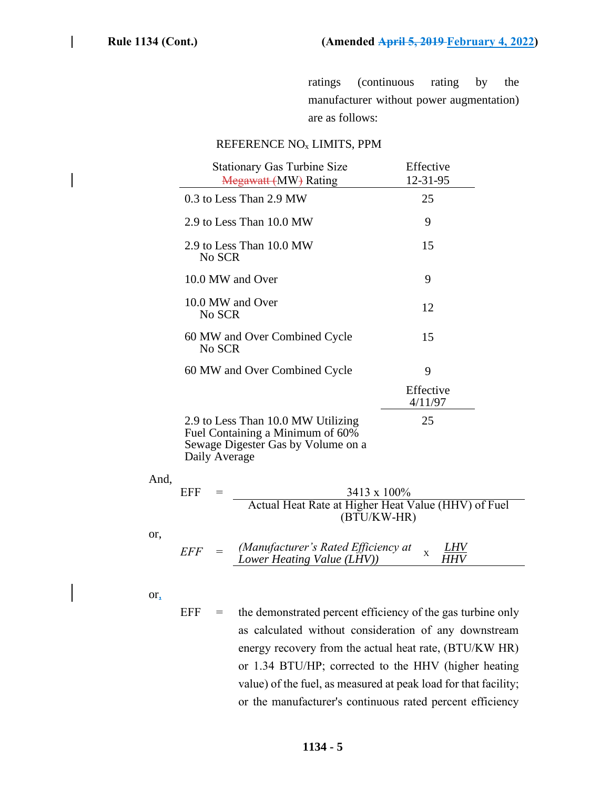ratings (continuous rating by the manufacturer without power augmentation) are as follows:

#### REFERENCE NO<sup>x</sup> LIMITS, PPM

|      | <b>Stationary Gas Turbine Size</b><br>Megawatt (MW) Rating                                                                    | Effective<br>12-31-95 |
|------|-------------------------------------------------------------------------------------------------------------------------------|-----------------------|
|      | 0.3 to Less Than 2.9 MW                                                                                                       | 25                    |
|      | 2.9 to Less Than 10.0 MW                                                                                                      | 9                     |
|      | 2.9 to Less Than 10.0 MW<br>No SCR                                                                                            | 15                    |
|      | 10.0 MW and Over                                                                                                              | 9                     |
|      | 10.0 MW and Over<br>No SCR                                                                                                    | 12                    |
|      | 60 MW and Over Combined Cycle<br>No SCR                                                                                       | 15                    |
|      | 60 MW and Over Combined Cycle                                                                                                 | 9                     |
|      |                                                                                                                               | Effective<br>4/11/97  |
|      | 2.9 to Less Than 10.0 MW Utilizing<br>Fuel Containing a Minimum of 60%<br>Sewage Digester Gas by Volume on a<br>Daily Average | 25                    |
| And, |                                                                                                                               |                       |
|      | 3413 x 100%<br><b>EFF</b><br>$=$<br>Actual Heat Rate at Higher Heat Value (HHV) of Fuel<br>(BTU/KW-HR)                        |                       |
| or,  | (Manufacturer's Rated Efficiency at<br><b>EFF</b><br>$=$<br>Lower Heating Value (LHV))                                        | X<br>HHV              |

or,

 $EFF =$  the demonstrated percent efficiency of the gas turbine only as calculated without consideration of any downstream energy recovery from the actual heat rate, (BTU/KW HR) or 1.34 BTU/HP; corrected to the HHV (higher heating value) of the fuel, as measured at peak load for that facility; or the manufacturer's continuous rated percent efficiency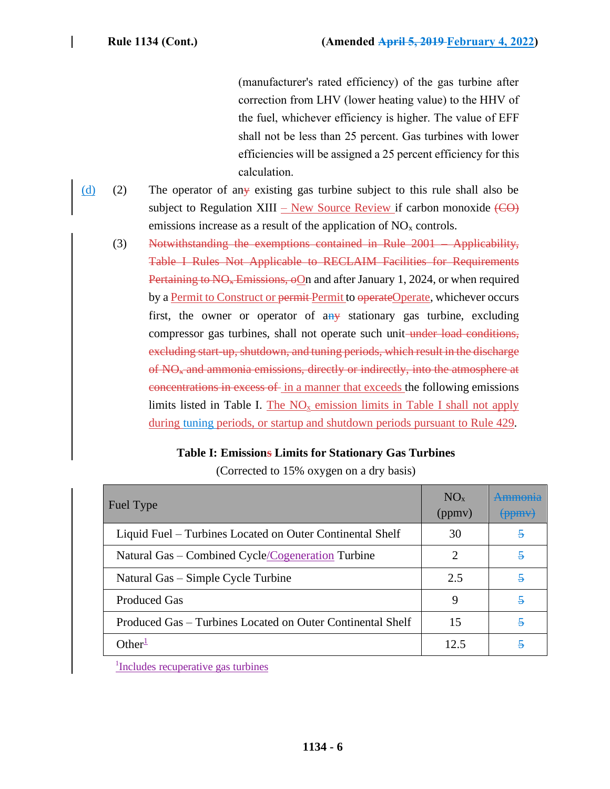(manufacturer's rated efficiency) of the gas turbine after correction from LHV (lower heating value) to the HHV of the fuel, whichever efficiency is higher. The value of EFF shall not be less than 25 percent. Gas turbines with lower efficiencies will be assigned a 25 percent efficiency for this calculation.

- (d) (2) The operator of any existing gas turbine subject to this rule shall also be subject to Regulation XIII – New Source Review if carbon monoxide  $(\overline{CO})$ emissions increase as a result of the application of  $NO<sub>x</sub>$  controls.
	- (3) Notwithstanding the exemptions contained in Rule 2001 Applicability, Table I Rules Not Applicable to RECLAIM Facilities for Requirements Pertaining to  $N\Theta_{\rm *}$  Emissions,  $\Theta$ On and after January 1, 2024, or when required by a Permit to Construct or permit Permit to operateOperate, whichever occurs first, the owner or operator of  $a_{n+1}$  stationary gas turbine, excluding compressor gas turbines, shall not operate such unit under load conditions, excluding start-up, shutdown, and tuning periods, which result in the discharge of NO<sup>x</sup> and ammonia emissions, directly or indirectly, into the atmosphere at concentrations in excess of in a manner that exceeds the following emissions limits listed in Table I. The  $NO<sub>x</sub>$  emission limits in Table I shall not apply during tuning periods, or startup and shutdown periods pursuant to Rule 429.

# **Table I: Emissions Limits for Stationary Gas Turbines**

| NO <sub>x</sub><br>(ppmv)   | (ppmy)                  |
|-----------------------------|-------------------------|
| 30                          | $\mathfrak s$           |
| $\mathcal{D}_{\mathcal{L}}$ | $\overline{5}$          |
| 2.5                         | 5                       |
| 9                           | 5                       |
| 15                          | $\overline{\mathbf{z}}$ |
| 12.5                        | 5                       |
|                             |                         |

(Corrected to 15% oxygen on a dry basis)

1 Includes recuperative gas turbines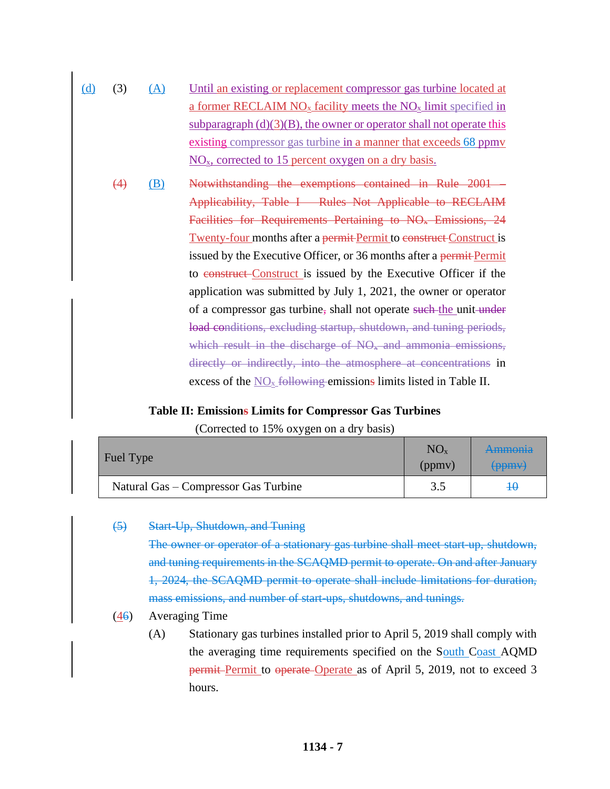- (d) (3) (A) Until an existing or replacement compressor gas turbine located at a former RECLAIM  $NO_x$  facility meets the  $NO_x$  limit specified in subparagraph  $(d)(3)(B)$ , the owner or operator shall not operate this existing compressor gas turbine in a manner that exceeds 68 ppmv  $NO<sub>x</sub>$ , corrected to 15 percent oxygen on a dry basis.
	- (4) (B) Notwithstanding the exemptions contained in Rule 2001 Applicability, Table I – Rules Not Applicable to RECLAIM Facilities for Requirements Pertaining to NO<sub>x</sub> Emissions, 24 Twenty-four months after a permit-Permit to construct Construct is issued by the Executive Officer, or 36 months after a permit-Permit to construct Construct is issued by the Executive Officer if the application was submitted by July 1, 2021, the owner or operator of a compressor gas turbine, shall not operate such the unit under load conditions, excluding startup, shutdown, and tuning periods, which result in the discharge of  $NO<sub>x</sub>$  and ammonia emissions, directly or indirectly, into the atmosphere at concentrations in excess of the  $NO<sub>x</sub>$  following emissions limits listed in Table II.

### **Table II: Emissions Limits for Compressor Gas Turbines**

(Corrected to 15% oxygen on a dry basis)

| Fuel Type                            | $NO_{x}$<br>(ppmv) | <del>Ammonia</del><br>$\left\langle \text{ppm} \right\rangle$ |
|--------------------------------------|--------------------|---------------------------------------------------------------|
| Natural Gas – Compressor Gas Turbine |                    | 40                                                            |

### (5) Start-Up, Shutdown, and Tuning

The owner or operator of a stationary gas turbine shall meet start-up, shutdown, and tuning requirements in the SCAQMD permit to operate. On and after January 1, 2024, the SCAQMD permit to operate shall include limitations for duration, mass emissions, and number of start-ups, shutdowns, and tunings.

# (46) Averaging Time

(A) Stationary gas turbines installed prior to April 5, 2019 shall comply with the averaging time requirements specified on the South Coast AQMD **permit Permit** to operate Operate as of April 5, 2019, not to exceed 3 hours.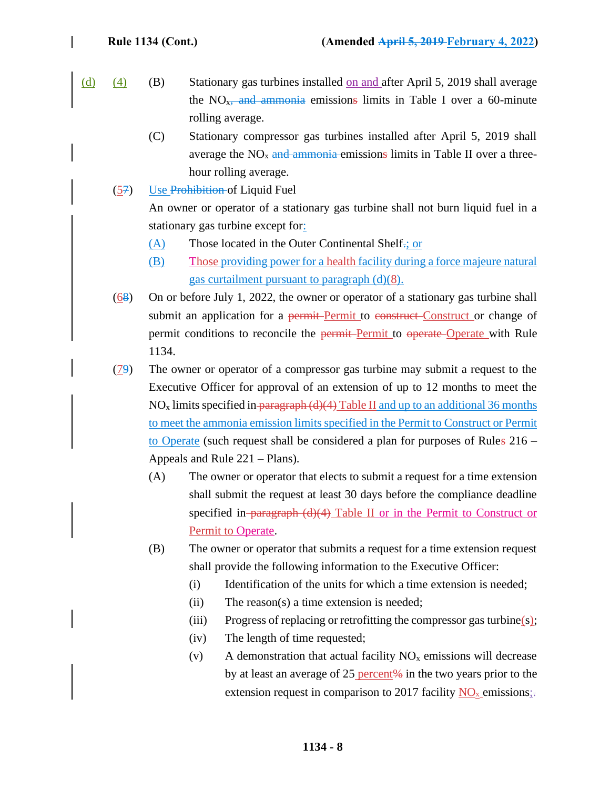- (d) (4) (B) Stationary gas turbines installed on and after April 5, 2019 shall average the  $NO<sub>x</sub>$ , and ammonia emissions limits in Table I over a 60-minute rolling average.
	- (C) Stationary compressor gas turbines installed after April 5, 2019 shall average the  $NO<sub>x</sub>$  and ammonia emissions limits in Table II over a threehour rolling average.
	- (57) Use Prohibition of Liquid Fuel

An owner or operator of a stationary gas turbine shall not burn liquid fuel in a stationary gas turbine except for:

- (A) Those located in the Outer Continental Shelf.; or
- (B) Those providing power for a health facility during a force majeure natural gas curtailment pursuant to paragraph (d)(8).
- (68) On or before July 1, 2022, the owner or operator of a stationary gas turbine shall submit an application for a permit-Permit to construct-Construct or change of permit conditions to reconcile the permit-Permit to operate-Operate with Rule 1134.
- (79) The owner or operator of a compressor gas turbine may submit a request to the Executive Officer for approval of an extension of up to 12 months to meet the  $NO<sub>x</sub>$  limits specified in paragraph (d)(4) Table II and up to an additional 36 months to meet the ammonia emission limits specified in the Permit to Construct or Permit to Operate (such request shall be considered a plan for purposes of Rules 216 – Appeals and Rule 221 – Plans).
	- (A) The owner or operator that elects to submit a request for a time extension shall submit the request at least 30 days before the compliance deadline specified in- $\frac{1}{\text{paragnah (d)(4)}}$  Table II or in the Permit to Construct or Permit to Operate.
	- (B) The owner or operator that submits a request for a time extension request shall provide the following information to the Executive Officer:
		- (i) Identification of the units for which a time extension is needed;
		- (ii) The reason(s) a time extension is needed;
		- (iii) Progress of replacing or retrofitting the compressor gas turbine(s);
		- (iv) The length of time requested;
		- (v) A demonstration that actual facility  $NO<sub>x</sub>$  emissions will decrease by at least an average of 25 percent $\frac{1}{2}$  in the two years prior to the extension request in comparison to 2017 facility  $NO<sub>x</sub>$  emissions: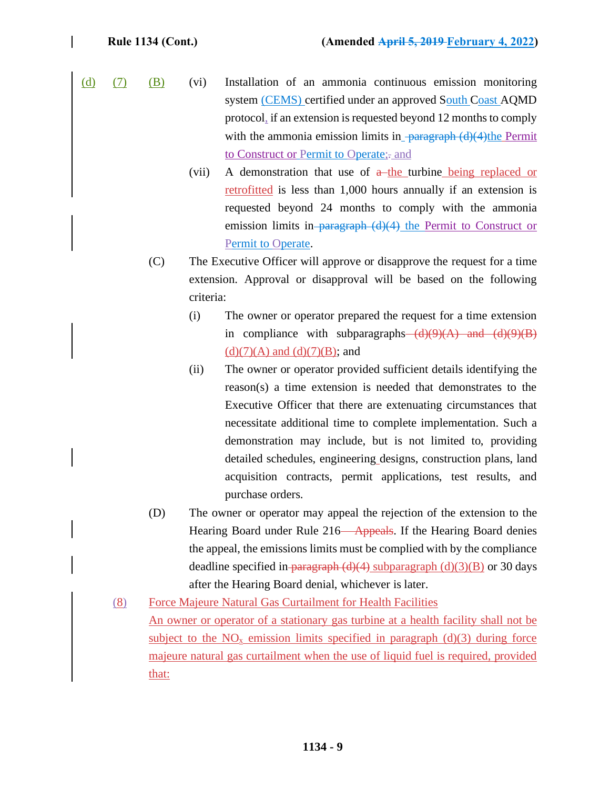- $(d)$   $(7)$   $(B)$   $(vi)$  Installation of an ammonia continuous emission monitoring system (CEMS) certified under an approved South Coast AQMD protocol, if an extension is requested beyond 12 months to comply with the ammonia emission limits in  $\frac{1}{2}$  paragraph (d)(4)the Permit to Construct or Permit to Operate;- and
	- (vii) A demonstration that use of  $a$ -the turbine being replaced or retrofitted is less than 1,000 hours annually if an extension is requested beyond 24 months to comply with the ammonia emission limits in-paragraph  $(d)(4)$  the Permit to Construct or Permit to Operate.
	- (C) The Executive Officer will approve or disapprove the request for a time extension. Approval or disapproval will be based on the following criteria:
		- (i) The owner or operator prepared the request for a time extension in compliance with subparagraphs  $(d)(9)(A)$  and  $(d)(9)(B)$  $(d)(7)(A)$  and  $(d)(7)(B)$ ; and
		- (ii) The owner or operator provided sufficient details identifying the reason(s) a time extension is needed that demonstrates to the Executive Officer that there are extenuating circumstances that necessitate additional time to complete implementation. Such a demonstration may include, but is not limited to, providing detailed schedules, engineering designs, construction plans, land acquisition contracts, permit applications, test results, and purchase orders.
	- (D) The owner or operator may appeal the rejection of the extension to the Hearing Board under Rule 216—Appeals. If the Hearing Board denies the appeal, the emissions limits must be complied with by the compliance deadline specified in paragraph  $(d)(4)$  subparagraph  $(d)(3)(B)$  or 30 days after the Hearing Board denial, whichever is later.
	- (8) Force Majeure Natural Gas Curtailment for Health Facilities An owner or operator of a stationary gas turbine at a health facility shall not be subject to the  $NO<sub>x</sub>$  emission limits specified in paragraph (d)(3) during force majeure natural gas curtailment when the use of liquid fuel is required, provided that: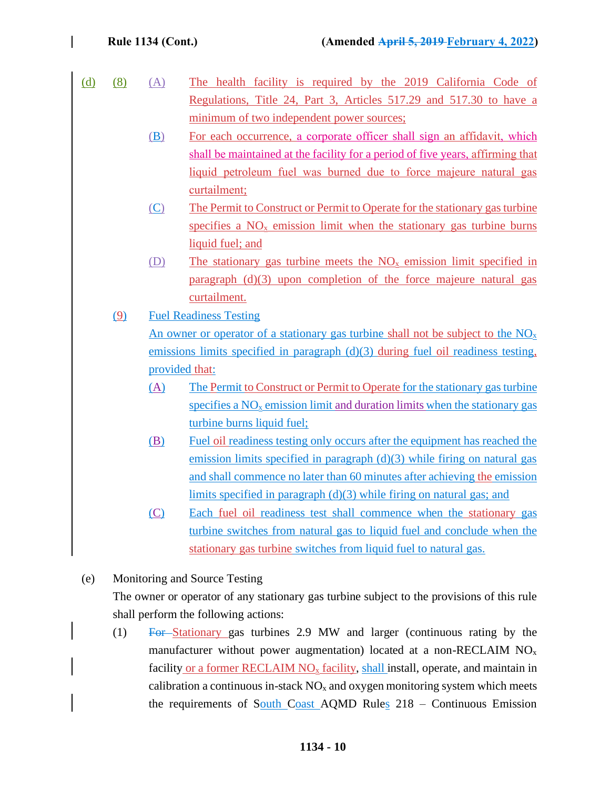| (d) | (8) | (A) | The health facility is required by the 2019 California Code of                      |  |  |
|-----|-----|-----|-------------------------------------------------------------------------------------|--|--|
|     |     |     | Regulations, Title 24, Part 3, Articles 517.29 and 517.30 to have a                 |  |  |
|     |     |     | minimum of two independent power sources;                                           |  |  |
|     |     | (B) | For each occurrence, a corporate officer shall sign an affidavit, which             |  |  |
|     |     |     | shall be maintained at the facility for a period of five years, affirming that      |  |  |
|     |     |     | liquid petroleum fuel was burned due to force majeure natural gas                   |  |  |
|     |     |     | curtailment;                                                                        |  |  |
|     |     | (C) | The Permit to Construct or Permit to Operate for the stationary gas turbine         |  |  |
|     |     |     | specifies a $NO_x$ emission limit when the stationary gas turbine burns             |  |  |
|     |     |     | liquid fuel; and                                                                    |  |  |
|     |     | (D) | The stationary gas turbine meets the $NOx$ emission limit specified in              |  |  |
|     |     |     | paragraph (d)(3) upon completion of the force majeure natural gas                   |  |  |
|     |     |     | curtailment.                                                                        |  |  |
|     | (9) |     | <b>Fuel Readiness Testing</b>                                                       |  |  |
|     |     |     | An owner or operator of a stationary gas turbine shall not be subject to the $NOx$  |  |  |
|     |     |     | emissions limits specified in paragraph $(d)(3)$ during fuel oil readiness testing, |  |  |
|     |     |     | provided that:                                                                      |  |  |
|     |     | (A) | The Permit to Construct or Permit to Operate for the stationary gas turbine         |  |  |
|     |     |     | specifies a $NOx$ emission limit and duration limits when the stationary gas        |  |  |
|     |     |     | turbine burns liquid fuel;                                                          |  |  |
|     |     | (B) | Fuel oil readiness testing only occurs after the equipment has reached the          |  |  |
|     |     |     | emission limits specified in paragraph $(d)(3)$ while firing on natural gas         |  |  |
|     |     |     | and shall commence no later than 60 minutes after achieving the emission            |  |  |
|     |     |     | limits specified in paragraph $(d)(3)$ while firing on natural gas; and             |  |  |
|     |     | (C) | Each fuel oil readiness test shall commence when the stationary gas                 |  |  |
|     |     |     | turbine switches from natural gas to liquid fuel and conclude when the              |  |  |
|     |     |     | stationary gas turbine switches from liquid fuel to natural gas.                    |  |  |
|     |     |     |                                                                                     |  |  |

(e) Monitoring and Source Testing

The owner or operator of any stationary gas turbine subject to the provisions of this rule shall perform the following actions:

(1) For Stationary gas turbines 2.9 MW and larger (continuous rating by the manufacturer without power augmentation) located at a non-RECLAIM NO<sup>x</sup> facility or a former RECLAIM  $NO_x$  facility, shall install, operate, and maintain in calibration a continuous in-stack  $NO<sub>x</sub>$  and oxygen monitoring system which meets the requirements of South Coast AQMD Rules 218 – Continuous Emission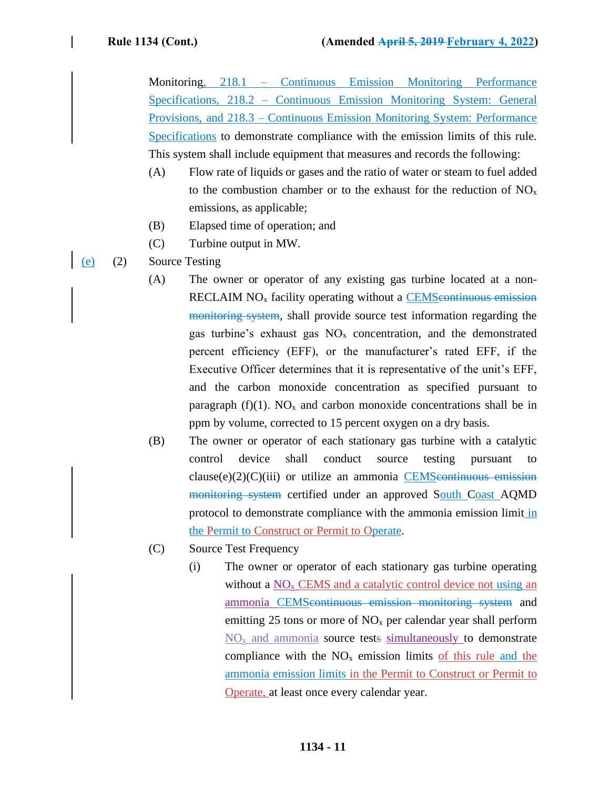Monitoring, 218.1 – Continuous Emission Monitoring Performance Specifications, 218.2 – Continuous Emission Monitoring System: General Provisions, and 218.3 – Continuous Emission Monitoring System: Performance Specifications to demonstrate compliance with the emission limits of this rule. This system shall include equipment that measures and records the following:

- (A) Flow rate of liquids or gases and the ratio of water or steam to fuel added to the combustion chamber or to the exhaust for the reduction of  $NO<sub>x</sub>$ emissions, as applicable;
- (B) Elapsed time of operation; and
- (C) Turbine output in MW.
- (e) (2) Source Testing
	- (A) The owner or operator of any existing gas turbine located at a non-RECLAIM NO<sub>x</sub> facility operating without a CEMS continuous emission monitoring system, shall provide source test information regarding the gas turbine's exhaust gas  $NO<sub>x</sub>$  concentration, and the demonstrated percent efficiency (EFF), or the manufacturer's rated EFF, if the Executive Officer determines that it is representative of the unit's EFF, and the carbon monoxide concentration as specified pursuant to paragraph (f)(1).  $NO<sub>x</sub>$  and carbon monoxide concentrations shall be in ppm by volume, corrected to 15 percent oxygen on a dry basis.
	- (B) The owner or operator of each stationary gas turbine with a catalytic control device shall conduct source testing pursuant to  $clause(e)(2)(C)(iii)$  or utilize an ammonia CEMS continuous emission monitoring system certified under an approved South Coast AQMD protocol to demonstrate compliance with the ammonia emission limit in the Permit to Construct or Permit to Operate.
	- (C) Source Test Frequency
		- (i) The owner or operator of each stationary gas turbine operating without a  $NO<sub>x</sub>$  CEMS and a catalytic control device not using an ammonia CEMScontinuous emission monitoring system and emitting 25 tons or more of  $NO<sub>x</sub>$  per calendar year shall perform  $NO<sub>x</sub>$  and ammonia source tests simultaneously to demonstrate compliance with the  $NO<sub>x</sub>$  emission limits of this rule and the ammonia emission limits in the Permit to Construct or Permit to Operate, at least once every calendar year.

### **1134 - 11**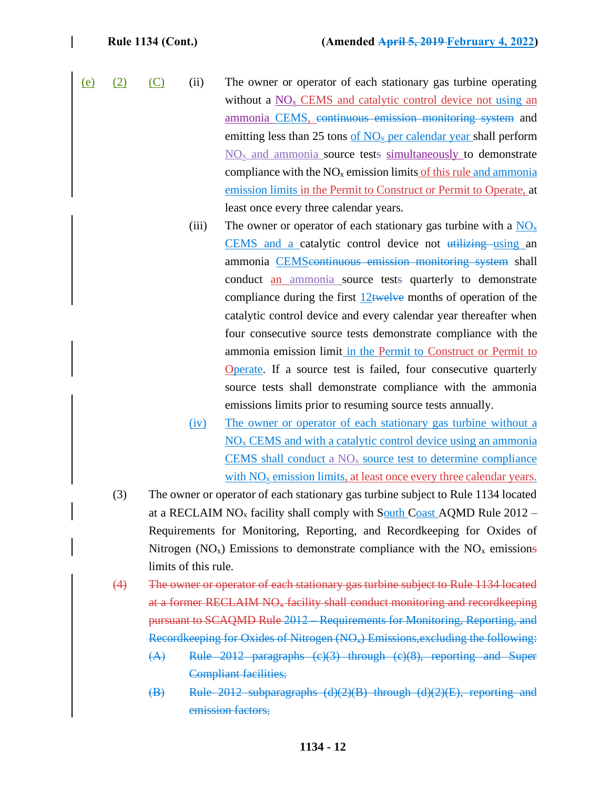- (e) (2) (C) (ii) The owner or operator of each stationary gas turbine operating without a  $NO<sub>x</sub>$  CEMS and catalytic control device not using an ammonia CEMS, continuous emission monitoring system and emitting less than 25 tons of  $NO<sub>x</sub>$  per calendar year shall perform  $NO<sub>x</sub>$  and ammonia source tests simultaneously to demonstrate compliance with the  $NO<sub>x</sub>$  emission limits of this rule and ammonia emission limits in the Permit to Construct or Permit to Operate, at least once every three calendar years.
	- (iii) The owner or operator of each stationary gas turbine with a  $NO<sub>x</sub>$ CEMS and a catalytic control device not utilizing using an ammonia CEMScontinuous emission monitoring system shall conduct an ammonia source tests quarterly to demonstrate compliance during the first  $12$  twelve months of operation of the catalytic control device and every calendar year thereafter when four consecutive source tests demonstrate compliance with the ammonia emission limit in the Permit to Construct or Permit to Operate. If a source test is failed, four consecutive quarterly source tests shall demonstrate compliance with the ammonia emissions limits prior to resuming source tests annually.
	- (iv) The owner or operator of each stationary gas turbine without a  $NO<sub>x</sub>$  CEMS and with a catalytic control device using an ammonia CEMS shall conduct a  $NO<sub>x</sub>$  source test to determine compliance with  $NO<sub>x</sub>$  emission limits, at least once every three calendar years.
	- (3) The owner or operator of each stationary gas turbine subject to Rule 1134 located at a RECLAIM  $NO<sub>x</sub>$  facility shall comply with South Coast AQMD Rule 2012 – Requirements for Monitoring, Reporting, and Recordkeeping for Oxides of Nitrogen ( $NO<sub>x</sub>$ ) Emissions to demonstrate compliance with the  $NO<sub>x</sub>$  emissions limits of this rule.
	- (4) The owner or operator of each stationary gas turbine subject to Rule 1134 located at a former RECLAIM NO<sup>x</sup> facility shall conduct monitoring and recordkeeping pursuant to SCAQMD Rule 2012 – Requirements for Monitoring, Reporting, and Recordkeeping for Oxides of Nitrogen (NOx) Emissions,excluding the following:
		- (A) Rule 2012 paragraphs (c)(3) through (c)(8), reporting and Super Compliant facilities;
		- (B) Rule 2012 subparagraphs (d)(2)(B) through (d)(2)(E), reporting and emission factors;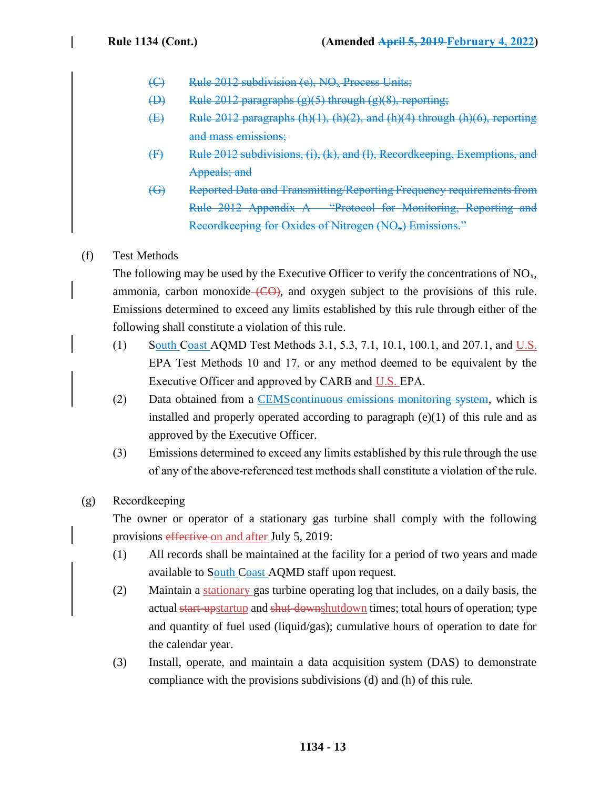- (C) Rule 2012 subdivision (e), NO<sup>x</sup> Process Units;
- (D) Rule 2012 paragraphs  $(g)(5)$  through  $(g)(8)$ , reporting;
- (E) Rule 2012 paragraphs (h)(1), (h)(2), and (h)(4) through (h)(6), reporting and mass emissions;
- (F) Rule 2012 subdivisions, (i), (k), and (l), Recordkeeping, Exemptions, and Appeals; and
- (G) Reported Data and Transmitting/Reporting Frequency requirements from Rule 2012 Appendix A – "Protocol for Monitoring, Reporting and Recordkeeping for Oxides of Nitrogen (NO<sub>\*</sub>) Emissions."

# (f) Test Methods

The following may be used by the Executive Officer to verify the concentrations of  $NO<sub>x</sub>$ , ammonia, carbon monoxide  $(CO)$ , and oxygen subject to the provisions of this rule. Emissions determined to exceed any limits established by this rule through either of the following shall constitute a violation of this rule.

- (1) South Coast AQMD Test Methods 3.1, 5.3, 7.1, 10.1, 100.1, and 207.1, and U.S. EPA Test Methods 10 and 17, or any method deemed to be equivalent by the Executive Officer and approved by CARB and U.S. EPA.
- (2) Data obtained from a **CEMS** continuous emissions monitoring system, which is installed and properly operated according to paragraph  $(e)(1)$  of this rule and as approved by the Executive Officer.
- (3) Emissions determined to exceed any limits established by this rule through the use of any of the above-referenced test methods shall constitute a violation of the rule.
- (g) Recordkeeping

The owner or operator of a stationary gas turbine shall comply with the following provisions effective on and after July 5, 2019:

- (1) All records shall be maintained at the facility for a period of two years and made available to South Coast AQMD staff upon request.
- (2) Maintain a stationary gas turbine operating log that includes, on a daily basis, the actual start-upstartup and shut-downshutdown times; total hours of operation; type and quantity of fuel used (liquid/gas); cumulative hours of operation to date for the calendar year.
- (3) Install, operate, and maintain a data acquisition system (DAS) to demonstrate compliance with the provisions subdivisions (d) and (h) of this rule.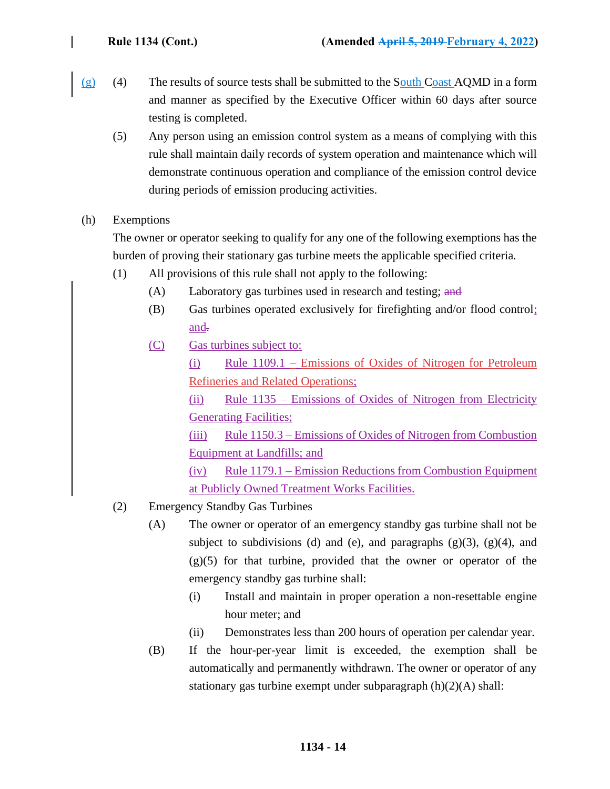- $(g)$  (4) The results of source tests shall be submitted to the South Coast AQMD in a form and manner as specified by the Executive Officer within 60 days after source testing is completed.
	- (5) Any person using an emission control system as a means of complying with this rule shall maintain daily records of system operation and maintenance which will demonstrate continuous operation and compliance of the emission control device during periods of emission producing activities.
- (h) Exemptions

The owner or operator seeking to qualify for any one of the following exemptions has the burden of proving their stationary gas turbine meets the applicable specified criteria.

- (1) All provisions of this rule shall not apply to the following:
	- (A) Laboratory gas turbines used in research and testing; and
	- (B) Gas turbines operated exclusively for firefighting and/or flood control; and-
	- (C) Gas turbines subject to:
		- (i) Rule 1109.1 Emissions of Oxides of Nitrogen for Petroleum Refineries and Related Operations;

(ii) Rule 1135 – Emissions of Oxides of Nitrogen from Electricity Generating Facilities;

(iii) Rule 1150.3 – Emissions of Oxides of Nitrogen from Combustion Equipment at Landfills; and

(iv) Rule 1179.1 – Emission Reductions from Combustion Equipment at Publicly Owned Treatment Works Facilities.

- (2) Emergency Standby Gas Turbines
	- (A) The owner or operator of an emergency standby gas turbine shall not be subject to subdivisions (d) and (e), and paragraphs  $(g)(3)$ ,  $(g)(4)$ , and (g)(5) for that turbine, provided that the owner or operator of the emergency standby gas turbine shall:
		- (i) Install and maintain in proper operation a non-resettable engine hour meter; and
		- (ii) Demonstrates less than 200 hours of operation per calendar year.
	- (B) If the hour-per-year limit is exceeded, the exemption shall be automatically and permanently withdrawn. The owner or operator of any stationary gas turbine exempt under subparagraph (h)(2)(A) shall: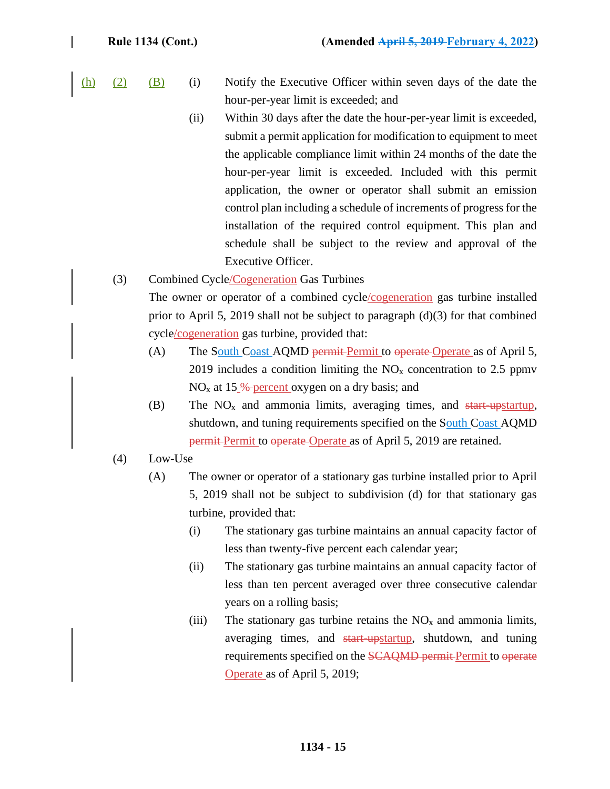- $(h)$  (2) (B) (i) Notify the Executive Officer within seven days of the date the hour-per-year limit is exceeded; and
	- (ii) Within 30 days after the date the hour-per-year limit is exceeded, submit a permit application for modification to equipment to meet the applicable compliance limit within 24 months of the date the hour-per-year limit is exceeded. Included with this permit application, the owner or operator shall submit an emission control plan including a schedule of increments of progress for the installation of the required control equipment. This plan and schedule shall be subject to the review and approval of the Executive Officer.
	- (3) Combined Cycle/Cogeneration Gas Turbines The owner or operator of a combined cycle/cogeneration gas turbine installed prior to April 5, 2019 shall not be subject to paragraph  $(d)(3)$  for that combined cycle/cogeneration gas turbine, provided that:
		- (A) The South Coast AQMD permit Permit to operate Operate as of April 5, 2019 includes a condition limiting the  $NO<sub>x</sub>$  concentration to 2.5 ppmv  $NO<sub>x</sub>$  at 15 % percent oxygen on a dry basis; and
		- (B) The  $NO<sub>x</sub>$  and ammonia limits, averaging times, and start-upstartup, shutdown, and tuning requirements specified on the South Coast AOMD permit Permit to operate Operate as of April 5, 2019 are retained.
	- (4) Low-Use
		- (A) The owner or operator of a stationary gas turbine installed prior to April 5, 2019 shall not be subject to subdivision (d) for that stationary gas turbine, provided that:
			- (i) The stationary gas turbine maintains an annual capacity factor of less than twenty-five percent each calendar year;
			- (ii) The stationary gas turbine maintains an annual capacity factor of less than ten percent averaged over three consecutive calendar years on a rolling basis;
			- (iii) The stationary gas turbine retains the  $NO<sub>x</sub>$  and ammonia limits, averaging times, and start-upstartup, shutdown, and tuning requirements specified on the SCAQMD permit Permit to operate Operate as of April 5, 2019;